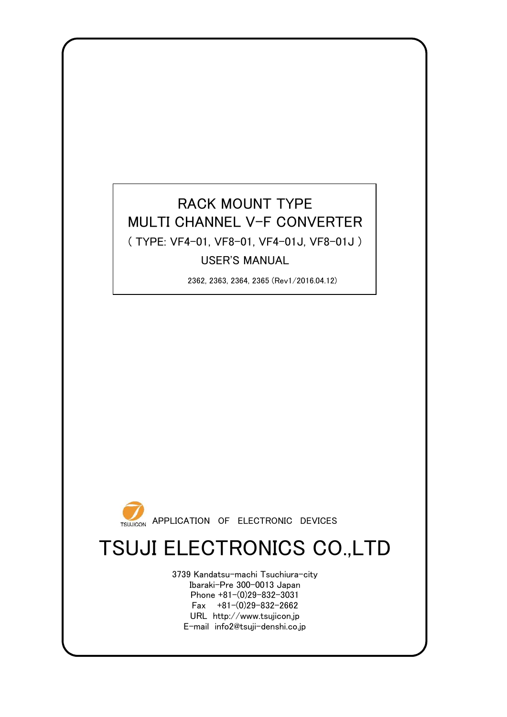### RACK MOUNT TYPE ( TYPE: VF4-01, VF8-01, VF4-01J, VF8-01J ) USER'S MANUAL MULTI CHANNEL V-F CONVERTER

2362, 2363, 2364, 2365 (Rev1/2016.04.12)



# TSUJI ELECTRONICS CO.,LTD

3739 Kandatsu-machi Tsuchiura-city Ibaraki-Pre 300-0013 Japan Phone +81-(0)29-832-3031 Fax  $+81-(0)29-832-2662$ URL http://www.tsujicon.jp E-mail info2@tsuji-denshi.co.jp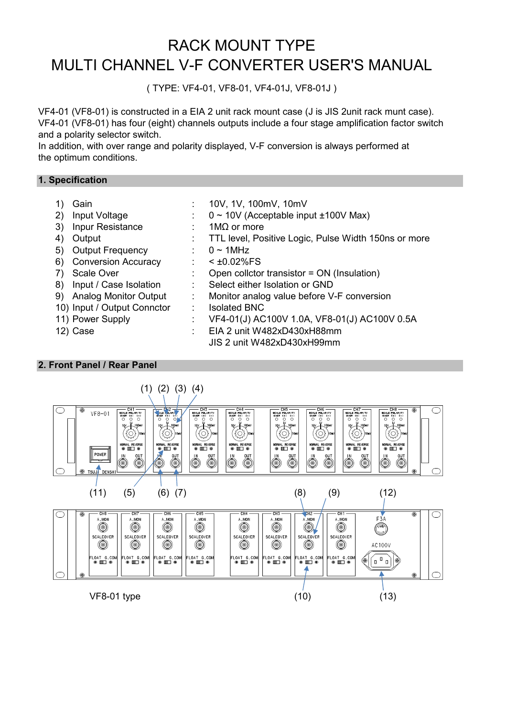## RACK MOUNT TYPE MULTI CHANNEL V-F CONVERTER USER'S MANUAL

( TYPE: VF4-01, VF8-01, VF4-01J, VF8-01J )

VF4-01 (VF8-01) is constructed in a EIA 2 unit rack mount case (J is JIS 2unit rack munt case). VF4-01 (VF8-01) has four (eight) channels outputs include a four stage amplification factor switch and a polarity selector switch.

In addition, with over range and polarity displayed, V-F conversion is always performed at the optimum conditions.

#### **1. Specification**

- 1) Gain : 10V, 1V, 100mV, 10mV
- 2) Input Voltage :  $0 \sim 10V$  (Acceptable input  $\pm 100V$  Max)
- 3) Inpur Resistance : 1MΩ or more
- 4) Output : TTL level, Positive Logic, Pulse Width 150ns or more
- 5) Output Frequency : 0 ~ 1MHz
- 6) Conversion Accuracy : < ±0.02%FS
- 7) Scale Over : Open collctor transistor = ON (Insulation)
- 8) Input / Case Isolation : Select either Isolation or GND
- 
- 10) Input / Output Connctor : Isolated BNC
- 
- 
- 9) Analog Monitor Output : Monitor analog value before V-F conversion
- 11) Power Supply : VF4-01(J) AC100V 1.0A, VF8-01(J) AC100V 0.5A
- 12) Case : EIA 2 unit W482xD430xH88mm JIS 2 unit W482xD430xH99mm

#### **2. Front Panel / Rear Panel**

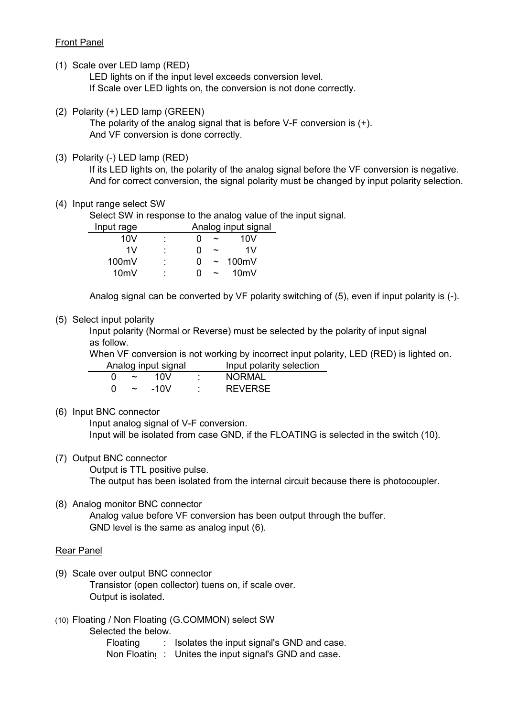#### Front Panel

(1) Scale over LED lamp (RED)

LED lights on if the input level exceeds conversion level. If Scale over LED lights on, the conversion is not done correctly.

(2) Polarity (+) LED lamp (GREEN)

The polarity of the analog signal that is before V-F conversion is (+). And VF conversion is done correctly.

(3) Polarity (-) LED lamp (RED)

If its LED lights on, the polarity of the analog signal before the VF conversion is negative. And for correct conversion, the signal polarity must be changed by input polarity selection.

(4) Input range select SW

Select SW in response to the analog value of the input signal.

| Input rage      |        |   |                       | Analog input signal |
|-----------------|--------|---|-----------------------|---------------------|
| 10V             | ٠      |   | $\tilde{\phantom{a}}$ | 10V                 |
| 1V              | ٠      | 0 | $\tilde{\phantom{a}}$ | 1V                  |
| 100mV           | ٠      | O | $\tilde{\phantom{m}}$ | 100 $mV$            |
| 10 <sub>m</sub> | ٠<br>۰ | O |                       | 10 <sub>m</sub>     |

Analog signal can be converted by VF polarity switching of (5), even if input polarity is (-).

#### (5) Select input polarity

Input polarity (Normal or Reverse) must be selected by the polarity of input signal as follow.

When VF conversion is not working by incorrect input polarity, LED (RED) is lighted on. Analog input signal Input polarity selection

| ~ | 10V    | <b>NORMAL</b>  |
|---|--------|----------------|
| ~ | $-10V$ | <b>REVERSE</b> |

(6) Input BNC connector

Input analog signal of V-F conversion. Input will be isolated from case GND, if the FLOATING is selected in the switch (10).

(7) Output BNC connector

Output is TTL positive pulse. The output has been isolated from the internal circuit because there is photocoupler.

(8) Analog monitor BNC connector Analog value before VF conversion has been output through the buffer. GND level is the same as analog input (6).

#### Rear Panel

- (9) Scale over output BNC connector Transistor (open collector) tuens on, if scale over. Output is isolated.
- (10) Floating / Non Floating (G.COMMON) select SW

Selected the below.

Floating : Isolates the input signal's GND and case.

Non Floating: Unites the input signal's GND and case.